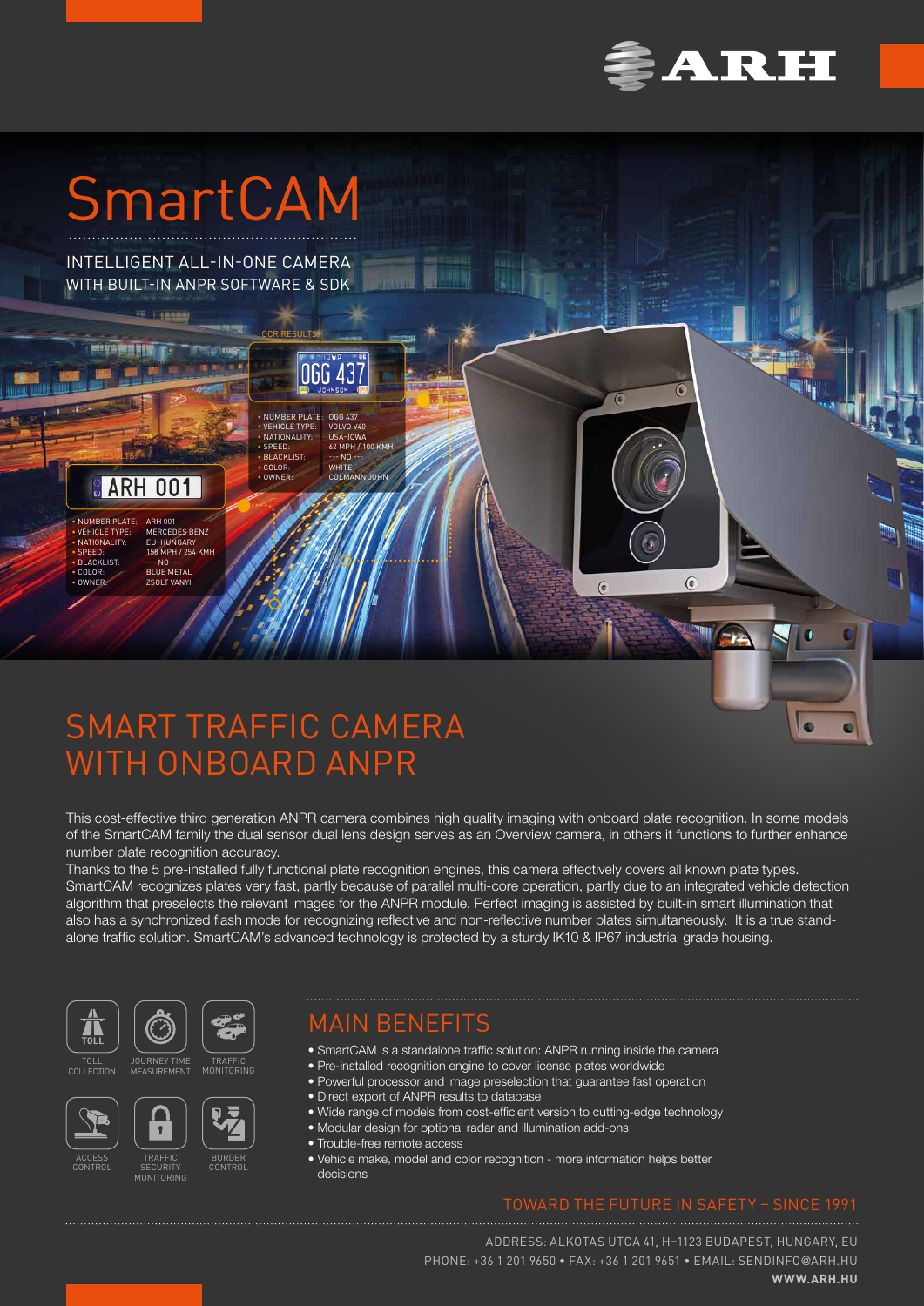

 $\overline{c}$ 

 $\sqrt{ }$ 

 $\bullet$ 

 $\overline{a}$ 

 $\overline{6}$ 

 $\overline{C}$ 

# SmartCAM

INTELLIGENT ALL-IN-ONE CAMERA WITH BUILT-IN ANPR SOFTWARE & SDK

 $1.50000$ 

OCR RESULTS:

NUMBER PLATE: 0GG 437<br>VEHICLE TYPE: VOLVO V40<br>NATIONALITY: USA-IOWA • VEHICLE TYPE: VOLVO V40 • NATIONALITY: USA–IOWA • SPEED: 62 MPH / 100 KMH BLACKLIST: --- NO **COLOR:** WHITE

066 437

COL MANN JOHN



OCR RESULTS:

• NUMBER PLATE<br>• VEHICLE TYPE: • NATIONALITY: EU–HUNGARY • SPEED: 158 MPH / 254 KMH • BLACKLIST: LO THE<br>• BLACKLIST: --- NO<br>• COLOR: BLUE I

• NUMBER PLATE: ARH 001<br>• VEHICLE TYPE: MERCEDES BENZ<br>• NATIONAL ITY: FII-HIJNGARY **BLUE METAL** • OWNER: ZSOLT VANYI

# SMART TRAFFIC CAMERA WITH ONBOARD ANPR

This cost-effective third generation ANPR camera combines high quality imaging with onboard plate recognition. In some models of the SmartCAM family the dual sensor dual lens design serves as an Overview camera, in others it functions to further enhance number plate recognition accuracy.

Thanks to the 5 pre-installed fully functional plate recognition engines, this camera effectively covers all known plate types. SmartCAM recognizes plates very fast, partly because of parallel multi-core operation, partly due to an integrated vehicle detection algorithm that preselects the relevant images for the ANPR module. Perfect imaging is assisted by built-in smart illumination that also has a synchronized flash mode for recognizing reflective and non-reflective number plates simultaneously. It is a true standalone traffic solution. SmartCAM's advanced technology is protected by a sturdy IK10 & IP67 industrial grade housing.





### MAIN BENEFITS

• SmartCAM is a standalone traffic solution: ANPR running inside the camera

- Pre-installed recognition engine to cover license plates worldwide
- Powerful processor and image preselection that guarantee fast operation
	- Direct export of ANPR results to database
	- Wide range of models from cost-efficient version to cutting-edge technology
	- Modular design for optional radar and illumination add-ons
	- Trouble-free remote access
	- Vehicle make, model and color recognition more information helps better decisions

### TOWARD THE FUTURE IN SAFETY – SINCE 1991

ADDRESS: ALKOTAS UTCA 41, H–1123 BUDAPEST, HUNGARY, EU PHONE: +36 1 201 9650 • FAX: +36 1 201 9651 • EMAIL: [SENDINFO](mailto:sendinfo%40arh.hu?subject=)@ARH.HU **[WWW.ARH.HU](https://www.arh.hu)**









TRAFFIC SECURITY MONITORING

JOURNEY TIME MEASUREMENT

 $\overline{\mathbf{r}}$ 

BORDER CONTROL

TRAFFIC MONITORING